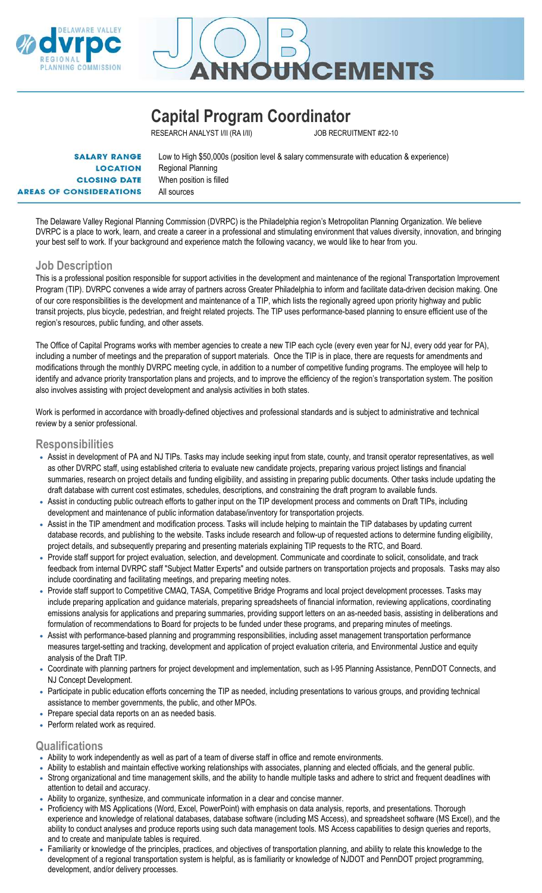



# Capital Program Coordinator

RESEARCH ANALYST I/II (RA I/II) JOB RECRUITMENT #22-10

| <b>SALARY RANGE</b>            | Low to High \$50,000s (position level & salary commensurate with education & experience) |
|--------------------------------|------------------------------------------------------------------------------------------|
| <b>LOCATION</b>                | Regional Planning                                                                        |
| <b>CLOSING DATE</b>            | When position is filled                                                                  |
| <b>AREAS OF CONSIDERATIONS</b> | All sources                                                                              |

The Delaware Valley Regional Planning Commission (DVRPC) is the Philadelphia region's Metropolitan Planning Organization. We believe DVRPC is a place to work, learn, and create a career in a professional and stimulating environment that values diversity, innovation, and bringing your best self to work. If your background and experience match the following vacancy, we would like to hear from you.

### Job Description

This is a professional position responsible for support activities in the development and maintenance of the regional Transportation Improvement Program (TIP). DVRPC convenes a wide array of partners across Greater Philadelphia to inform and facilitate data-driven decision making. One of our core responsibilities is the development and maintenance of a TIP, which lists the regionally agreed upon priority highway and public transit projects, plus bicycle, pedestrian, and freight related projects. The TIP uses performance-based planning to ensure efficient use of the region's resources, public funding, and other assets.

The Office of Capital Programs works with member agencies to create a new TIP each cycle (every even year for NJ, every odd year for PA), including a number of meetings and the preparation of support materials. Once the TIP is in place, there are requests for amendments and modifications through the monthly DVRPC meeting cycle, in addition to a number of competitive funding programs. The employee will help to identify and advance priority transportation plans and projects, and to improve the efficiency of the region's transportation system. The position also involves assisting with project development and analysis activities in both states.

Work is performed in accordance with broadly-defined objectives and professional standards and is subject to administrative and technical review by a senior professional.

#### Responsibilities

- Assist in development of PA and NJ TIPs. Tasks may include seeking input from state, county, and transit operator representatives, as well as other DVRPC staff, using established criteria to evaluate new candidate projects, preparing various project listings and financial summaries, research on project details and funding eligibility, and assisting in preparing public documents. Other tasks include updating the draft database with current cost estimates, schedules, descriptions, and constraining the draft program to available funds.
- Assist in conducting public outreach efforts to gather input on the TIP development process and comments on Draft TIPs, including development and maintenance of public information database/inventory for transportation projects.
- Assist in the TIP amendment and modification process. Tasks will include helping to maintain the TIP databases by updating current database records, and publishing to the website. Tasks include research and follow-up of requested actions to determine funding eligibility, project details, and subsequently preparing and presenting materials explaining TIP requests to the RTC, and Board.
- Provide staff support for project evaluation, selection, and development. Communicate and coordinate to solicit, consolidate, and track feedback from internal DVRPC staff "Subject Matter Experts" and outside partners on transportation projects and proposals. Tasks may also include coordinating and facilitating meetings, and preparing meeting notes.
- Provide staff support to Competitive CMAQ, TASA, Competitive Bridge Programs and local project development processes. Tasks may include preparing application and guidance materials, preparing spreadsheets of financial information, reviewing applications, coordinating emissions analysis for applications and preparing summaries, providing support letters on an as-needed basis, assisting in deliberations and formulation of recommendations to Board for projects to be funded under these programs, and preparing minutes of meetings.
- Assist with performance-based planning and programming responsibilities, including asset management transportation performance measures target-setting and tracking, development and application of project evaluation criteria, and Environmental Justice and equity analysis of the Draft TIP.
- Coordinate with planning partners for project development and implementation, such as I-95 Planning Assistance, PennDOT Connects, and NJ Concept Development.
- Participate in public education efforts concerning the TIP as needed, including presentations to various groups, and providing technical assistance to member governments, the public, and other MPOs.
- Prepare special data reports on an as needed basis.
- Perform related work as required.

#### **Qualifications**

- Ability to work independently as well as part of a team of diverse staff in office and remote environments.
- Ability to establish and maintain effective working relationships with associates, planning and elected officials, and the general public.
- Strong organizational and time management skills, and the ability to handle multiple tasks and adhere to strict and frequent deadlines with attention to detail and accuracy.
- Ability to organize, synthesize, and communicate information in a clear and concise manner.
- Proficiency with MS Applications (Word, Excel, PowerPoint) with emphasis on data analysis, reports, and presentations. Thorough experience and knowledge of relational databases, database software (including MS Access), and spreadsheet software (MS Excel), and the ability to conduct analyses and produce reports using such data management tools. MS Access capabilities to design queries and reports, and to create and manipulate tables is required.
- Familiarity or knowledge of the principles, practices, and objectives of transportation planning, and ability to relate this knowledge to the development of a regional transportation system is helpful, as is familiarity or knowledge of NJDOT and PennDOT project programming, development, and/or delivery processes.